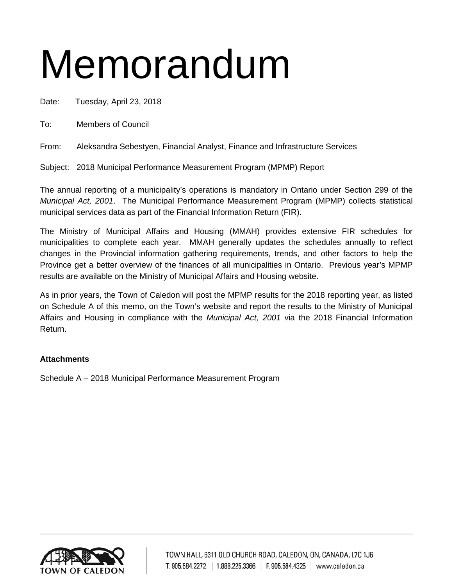# Memorandum

Date: Tuesday, April 23, 2018

To: Members of Council

From: Aleksandra Sebestyen, Financial Analyst, Finance and Infrastructure Services

Subject: 2018 Municipal Performance Measurement Program (MPMP) Report

The annual reporting of a municipality's operations is mandatory in Ontario under Section 299 of the *Municipal Act, 2001*. The Municipal Performance Measurement Program (MPMP) collects statistical municipal services data as part of the Financial Information Return (FIR).

The Ministry of Municipal Affairs and Housing (MMAH) provides extensive FIR schedules for municipalities to complete each year. MMAH generally updates the schedules annually to reflect changes in the Provincial information gathering requirements, trends, and other factors to help the Province get a better overview of the finances of all municipalities in Ontario. Previous year's MPMP results are available on the Ministry of Municipal Affairs and Housing website.

As in prior years, the Town of Caledon will post the MPMP results for the 2018 reporting year, as listed on Schedule A of this memo, on the Town's website and report the results to the Ministry of Municipal Affairs and Housing in compliance with the *Municipal Act, 2001* via the 2018 Financial Information Return.

### **Attachments**

Schedule A – 2018 Municipal Performance Measurement Program

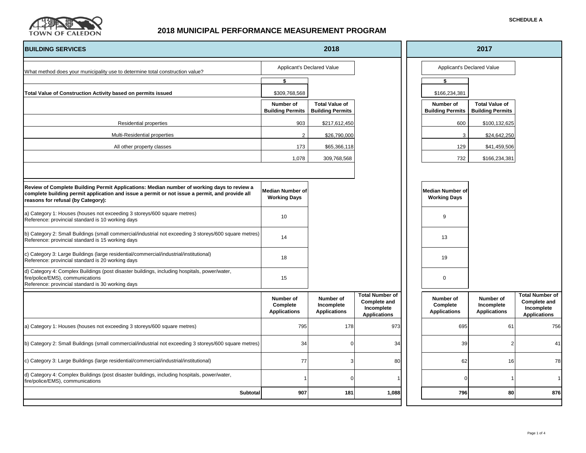

| 2018<br><b>BUILDING SERVICES</b>                                                                                                                                                                                                   |                                                |                                                  | 2017                                                                               |                            |                                                |                                                  |                                                                                    |
|------------------------------------------------------------------------------------------------------------------------------------------------------------------------------------------------------------------------------------|------------------------------------------------|--------------------------------------------------|------------------------------------------------------------------------------------|----------------------------|------------------------------------------------|--------------------------------------------------|------------------------------------------------------------------------------------|
| What method does your municipality use to determine total construction value?                                                                                                                                                      | Applicant's Declared Value                     |                                                  |                                                                                    | Applicant's Declared Value |                                                |                                                  |                                                                                    |
|                                                                                                                                                                                                                                    | \$                                             |                                                  |                                                                                    |                            | \$                                             |                                                  |                                                                                    |
| Total Value of Construction Activity based on permits issued                                                                                                                                                                       | \$309,768,568                                  |                                                  |                                                                                    |                            | \$166,234,381                                  |                                                  |                                                                                    |
|                                                                                                                                                                                                                                    | Number of<br><b>Building Permits</b>           | <b>Total Value of</b><br><b>Building Permits</b> |                                                                                    |                            | Number of<br><b>Building Permits</b>           | <b>Total Value of</b><br><b>Building Permits</b> |                                                                                    |
| <b>Residential properties</b>                                                                                                                                                                                                      | 903                                            | \$217,612,450                                    |                                                                                    |                            | 600                                            | \$100,132,625                                    |                                                                                    |
| Multi-Residential properties                                                                                                                                                                                                       | $\overline{2}$                                 | \$26,790,000                                     |                                                                                    |                            | 3                                              | \$24,642,250                                     |                                                                                    |
| All other property classes                                                                                                                                                                                                         | 173                                            | \$65,366,118                                     |                                                                                    |                            | 129                                            | \$41,459,506                                     |                                                                                    |
|                                                                                                                                                                                                                                    | 1,078                                          | 309,768,568                                      |                                                                                    |                            | 732                                            | \$166,234,381                                    |                                                                                    |
|                                                                                                                                                                                                                                    |                                                |                                                  |                                                                                    |                            |                                                |                                                  |                                                                                    |
| Review of Complete Building Permit Applications: Median number of working days to review a<br>complete building permit application and issue a permit or not issue a permit, and provide all<br>reasons for refusal (by Category): | <b>Median Number of</b><br><b>Working Days</b> |                                                  |                                                                                    |                            | <b>Median Number of</b><br><b>Working Days</b> |                                                  |                                                                                    |
| a) Category 1: Houses (houses not exceeding 3 storeys/600 square metres)<br>Reference: provincial standard is 10 working days                                                                                                      | 10                                             |                                                  |                                                                                    |                            | 9                                              |                                                  |                                                                                    |
| b) Category 2: Small Buildings (small commercial/industrial not exceeding 3 storeys/600 square metres)<br>Reference: provincial standard is 15 working days                                                                        | 14                                             |                                                  |                                                                                    |                            | 13                                             |                                                  |                                                                                    |
| c) Category 3: Large Buildings (large residential/commercial/industrial/institutional)<br>Reference: provincial standard is 20 working days                                                                                        | 18                                             |                                                  |                                                                                    |                            | 19                                             |                                                  |                                                                                    |
| d) Category 4: Complex Buildings (post disaster buildings, including hospitals, power/water,<br>fire/police/EMS), communications<br>Reference: provincial standard is 30 working days                                              | 15                                             |                                                  |                                                                                    |                            | $\mathbf 0$                                    |                                                  |                                                                                    |
|                                                                                                                                                                                                                                    | Number of<br>Complete<br><b>Applications</b>   | Number of<br>Incomplete<br><b>Applications</b>   | <b>Total Number of</b><br><b>Complete and</b><br>Incomplete<br><b>Applications</b> |                            | Number of<br>Complete<br><b>Applications</b>   | Number of<br>Incomplete<br><b>Applications</b>   | <b>Total Number of</b><br><b>Complete and</b><br>Incomplete<br><b>Applications</b> |
| a) Category 1: Houses (houses not exceeding 3 storeys/600 square metres)                                                                                                                                                           | 795                                            | 178                                              | 973                                                                                |                            | 695                                            | 61                                               | 756                                                                                |
| b) Category 2: Small Buildings (small commercial/industrial not exceeding 3 storeys/600 square metres)                                                                                                                             | 34                                             |                                                  | 34                                                                                 |                            | 39                                             | $\overline{2}$                                   | 41                                                                                 |
| c) Category 3: Large Buildings (large residential/commercial/industrial/institutional)                                                                                                                                             | 77                                             | 3                                                | 80                                                                                 |                            | 62                                             | 16                                               | 78                                                                                 |
| d) Category 4: Complex Buildings (post disaster buildings, including hospitals, power/water,<br>fire/police/EMS), communications                                                                                                   |                                                |                                                  |                                                                                    |                            | $\Omega$                                       |                                                  | $\overline{1}$                                                                     |
| Subtotal                                                                                                                                                                                                                           | 907                                            | 181                                              | 1,088                                                                              |                            | 796                                            | 80                                               | 876                                                                                |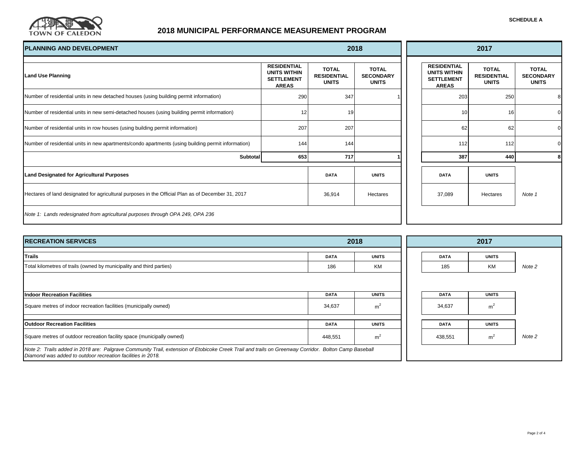

| <b>SCHEDULE A</b> |  |
|-------------------|--|
|-------------------|--|

. .

| <b>PLANNING AND DEVELOPMENT</b>                                                                    |                                                                                | 2018                                               |                                                  |  | 2017                                                                           |                                                    |                                                  |  |
|----------------------------------------------------------------------------------------------------|--------------------------------------------------------------------------------|----------------------------------------------------|--------------------------------------------------|--|--------------------------------------------------------------------------------|----------------------------------------------------|--------------------------------------------------|--|
| <b>Land Use Planning</b>                                                                           | <b>RESIDENTIAL</b><br><b>UNITS WITHIN</b><br><b>SETTLEMENT</b><br><b>AREAS</b> | <b>TOTAL</b><br><b>RESIDENTIAL</b><br><b>UNITS</b> | <b>TOTAL</b><br><b>SECONDARY</b><br><b>UNITS</b> |  | <b>RESIDENTIAL</b><br><b>UNITS WITHIN</b><br><b>SETTLEMENT</b><br><b>AREAS</b> | <b>TOTAL</b><br><b>RESIDENTIAL</b><br><b>UNITS</b> | <b>TOTAL</b><br><b>SECONDARY</b><br><b>UNITS</b> |  |
| Number of residential units in new detached houses (using building permit information)             | 290                                                                            | 347                                                |                                                  |  | 203                                                                            | 250                                                | 8                                                |  |
| Number of residential units in new semi-detached houses (using building permit information)        | 12                                                                             | 19                                                 |                                                  |  | 10                                                                             | 16                                                 |                                                  |  |
| Number of residential units in row houses (using building permit information)                      | 207                                                                            | 207                                                |                                                  |  | 62                                                                             | 62                                                 | $\Omega$                                         |  |
| Number of residential units in new apartments/condo apartments (using building permit information) | 144                                                                            | 144                                                |                                                  |  | 112                                                                            | 112                                                |                                                  |  |
| Subtotal                                                                                           | 653                                                                            | 717                                                |                                                  |  | 387                                                                            | 440                                                | 8                                                |  |
| <b>Land Designated for Agricultural Purposes</b>                                                   |                                                                                | <b>DATA</b>                                        | <b>UNITS</b>                                     |  | <b>DATA</b>                                                                    | <b>UNITS</b>                                       |                                                  |  |
| Hectares of land designated for agricultural purposes in the Official Plan as of December 31, 2017 |                                                                                | 36,914                                             | Hectares                                         |  | 37,089                                                                         | Hectares                                           | Note 1                                           |  |
| Note 1: Lands redesignated from agricultural purposes through OPA 249, OPA 236                     |                                                                                |                                                    |                                                  |  |                                                                                |                                                    |                                                  |  |

| <b>IRECREATION SERVICES</b>                                                                                                                                                                                         |             | 2018           |  | 2017        |                |        |  |
|---------------------------------------------------------------------------------------------------------------------------------------------------------------------------------------------------------------------|-------------|----------------|--|-------------|----------------|--------|--|
| <b>Trails</b>                                                                                                                                                                                                       | <b>DATA</b> | <b>UNITS</b>   |  | <b>DATA</b> | <b>UNITS</b>   |        |  |
| Total kilometres of trails (owned by municipality and third parties)                                                                                                                                                | 186         | KM             |  | 185         | KM             | Note 2 |  |
|                                                                                                                                                                                                                     |             |                |  |             |                |        |  |
| <b>Indoor Recreation Facilities</b>                                                                                                                                                                                 | <b>DATA</b> | <b>UNITS</b>   |  | <b>DATA</b> | <b>UNITS</b>   |        |  |
| Square metres of indoor recreation facilities (municipally owned)                                                                                                                                                   | 34,637      | m <sup>2</sup> |  | 34,637      | m <sup>2</sup> |        |  |
| <b>Outdoor Recreation Facilities</b>                                                                                                                                                                                | <b>DATA</b> | <b>UNITS</b>   |  | <b>DATA</b> | <b>UNITS</b>   |        |  |
| Square metres of outdoor recreation facility space (municipally owned)                                                                                                                                              | 448,551     | m <sup>2</sup> |  | 438,551     | m <sup>2</sup> | Note 2 |  |
| Note 2: Trails added in 2018 are: Palgrave Community Trail, extension of Etobicoke Creek Trail and trails on Greenway Corridor. Bolton Camp Baseball<br>Diamond was added to outdoor recreation facilities in 2018. |             |                |  |             |                |        |  |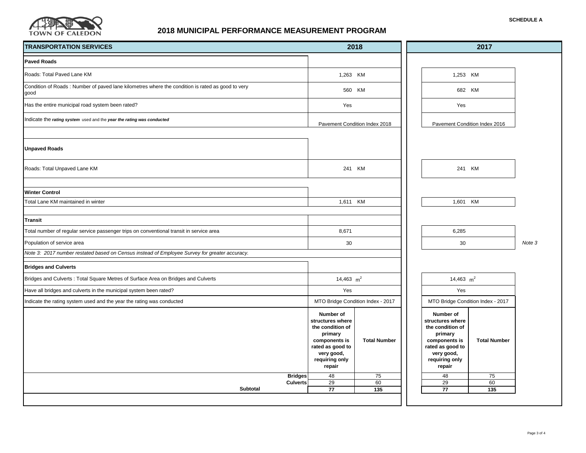

| 2018<br><b>TRANSPORTATION SERVICES</b>                                                                    |                                                                                                                                             |                                   | 2017                                                                                                                                        |                                   |        |
|-----------------------------------------------------------------------------------------------------------|---------------------------------------------------------------------------------------------------------------------------------------------|-----------------------------------|---------------------------------------------------------------------------------------------------------------------------------------------|-----------------------------------|--------|
| <b>Paved Roads</b>                                                                                        |                                                                                                                                             |                                   |                                                                                                                                             |                                   |        |
| Roads: Total Paved Lane KM                                                                                |                                                                                                                                             | 1,263 KM                          | 1,253 KM                                                                                                                                    |                                   |        |
| Condition of Roads : Number of paved lane kilometres where the condition is rated as good to very<br>good |                                                                                                                                             | 560 KM                            |                                                                                                                                             | 682 KM                            |        |
| Has the entire municipal road system been rated?                                                          | Yes                                                                                                                                         |                                   | Yes                                                                                                                                         |                                   |        |
| Indicate the rating system used and the year the rating was conducted                                     |                                                                                                                                             | Pavement Condition Index 2018     | Pavement Condition Index 2016                                                                                                               |                                   |        |
| <b>Unpaved Roads</b>                                                                                      |                                                                                                                                             |                                   |                                                                                                                                             |                                   |        |
| Roads: Total Unpaved Lane KM                                                                              | 241 KM                                                                                                                                      |                                   | 241 KM                                                                                                                                      |                                   |        |
| <b>Winter Control</b><br>Total Lane KM maintained in winter                                               | 1,611 KM                                                                                                                                    |                                   | 1,601 KM                                                                                                                                    |                                   |        |
| Transit                                                                                                   |                                                                                                                                             |                                   |                                                                                                                                             |                                   |        |
| Total number of regular service passenger trips on conventional transit in service area                   |                                                                                                                                             |                                   | 6,285                                                                                                                                       |                                   |        |
| Population of service area                                                                                |                                                                                                                                             |                                   | 30                                                                                                                                          |                                   | Note 3 |
| Note 3: 2017 number restated based on Census instead of Employee Survey for greater accuracy.             |                                                                                                                                             |                                   |                                                                                                                                             |                                   |        |
| <b>Bridges and Culverts</b>                                                                               |                                                                                                                                             |                                   |                                                                                                                                             |                                   |        |
| Bridges and Culverts : Total Square Metres of Surface Area on Bridges and Culverts                        | 14,463 $m2$                                                                                                                                 |                                   | 14,463 $m2$                                                                                                                                 |                                   |        |
| Have all bridges and culverts in the municipal system been rated?                                         | Yes                                                                                                                                         |                                   | Yes                                                                                                                                         |                                   |        |
| Indicate the rating system used and the year the rating was conducted                                     |                                                                                                                                             | MTO Bridge Condition Index - 2017 |                                                                                                                                             | MTO Bridge Condition Index - 2017 |        |
|                                                                                                           | Number of<br>structures where<br>the condition of<br>primary<br>components is<br>rated as good to<br>very good,<br>requiring only<br>repair | <b>Total Number</b>               | Number of<br>structures where<br>the condition of<br>primary<br>components is<br>rated as good to<br>very good,<br>requiring only<br>repair | <b>Total Number</b>               |        |
| <b>Bridges</b><br><b>Culverts</b>                                                                         | 48<br>29                                                                                                                                    | 75<br>60                          | 48<br>29                                                                                                                                    | 75<br>60                          |        |
| <b>Subtotal</b>                                                                                           | 77                                                                                                                                          | 135                               | 77                                                                                                                                          | 135                               |        |